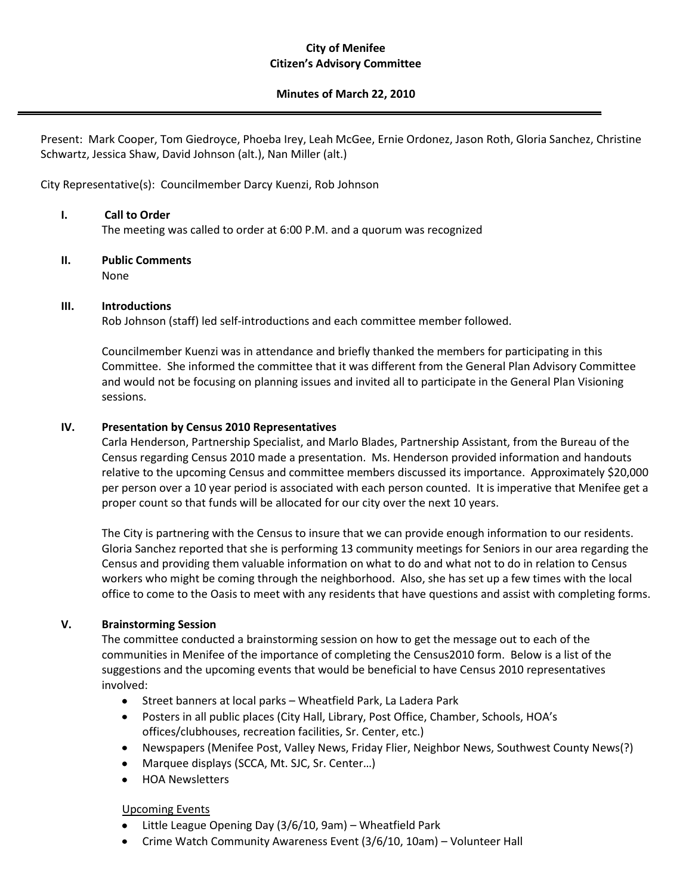#### **City of Menifee Citizen's Advisory Committee**

#### **Minutes of March 22, 2010**

Present: Mark Cooper, Tom Giedroyce, Phoeba Irey, Leah McGee, Ernie Ordonez, Jason Roth, Gloria Sanchez, Christine Schwartz, Jessica Shaw, David Johnson (alt.), Nan Miller (alt.)

City Representative(s): Councilmember Darcy Kuenzi, Rob Johnson

# **I. Call to Order**

The meeting was called to order at 6:00 P.M. and a quorum was recognized

# **II. Public Comments**

None

## **III. Introductions**

Rob Johnson (staff) led self-introductions and each committee member followed.

Councilmember Kuenzi was in attendance and briefly thanked the members for participating in this Committee. She informed the committee that it was different from the General Plan Advisory Committee and would not be focusing on planning issues and invited all to participate in the General Plan Visioning sessions.

## **IV. Presentation by Census 2010 Representatives**

Carla Henderson, Partnership Specialist, and Marlo Blades, Partnership Assistant, from the Bureau of the Census regarding Census 2010 made a presentation. Ms. Henderson provided information and handouts relative to the upcoming Census and committee members discussed its importance. Approximately \$20,000 per person over a 10 year period is associated with each person counted. It is imperative that Menifee get a proper count so that funds will be allocated for our city over the next 10 years.

The City is partnering with the Census to insure that we can provide enough information to our residents. Gloria Sanchez reported that she is performing 13 community meetings for Seniors in our area regarding the Census and providing them valuable information on what to do and what not to do in relation to Census workers who might be coming through the neighborhood. Also, she has set up a few times with the local office to come to the Oasis to meet with any residents that have questions and assist with completing forms.

#### **V. Brainstorming Session**

The committee conducted a brainstorming session on how to get the message out to each of the communities in Menifee of the importance of completing the Census2010 form. Below is a list of the suggestions and the upcoming events that would be beneficial to have Census 2010 representatives involved:

- $\bullet$ Street banners at local parks – Wheatfield Park, La Ladera Park
- Posters in all public places (City Hall, Library, Post Office, Chamber, Schools, HOA's offices/clubhouses, recreation facilities, Sr. Center, etc.)
- Newspapers (Menifee Post, Valley News, Friday Flier, Neighbor News, Southwest County News(?)
- Marquee displays (SCCA, Mt. SJC, Sr. Center…)
- HOA Newsletters

#### Upcoming Events

- Little League Opening Day (3/6/10, 9am) Wheatfield Park
- Crime Watch Community Awareness Event (3/6/10, 10am) Volunteer Hall